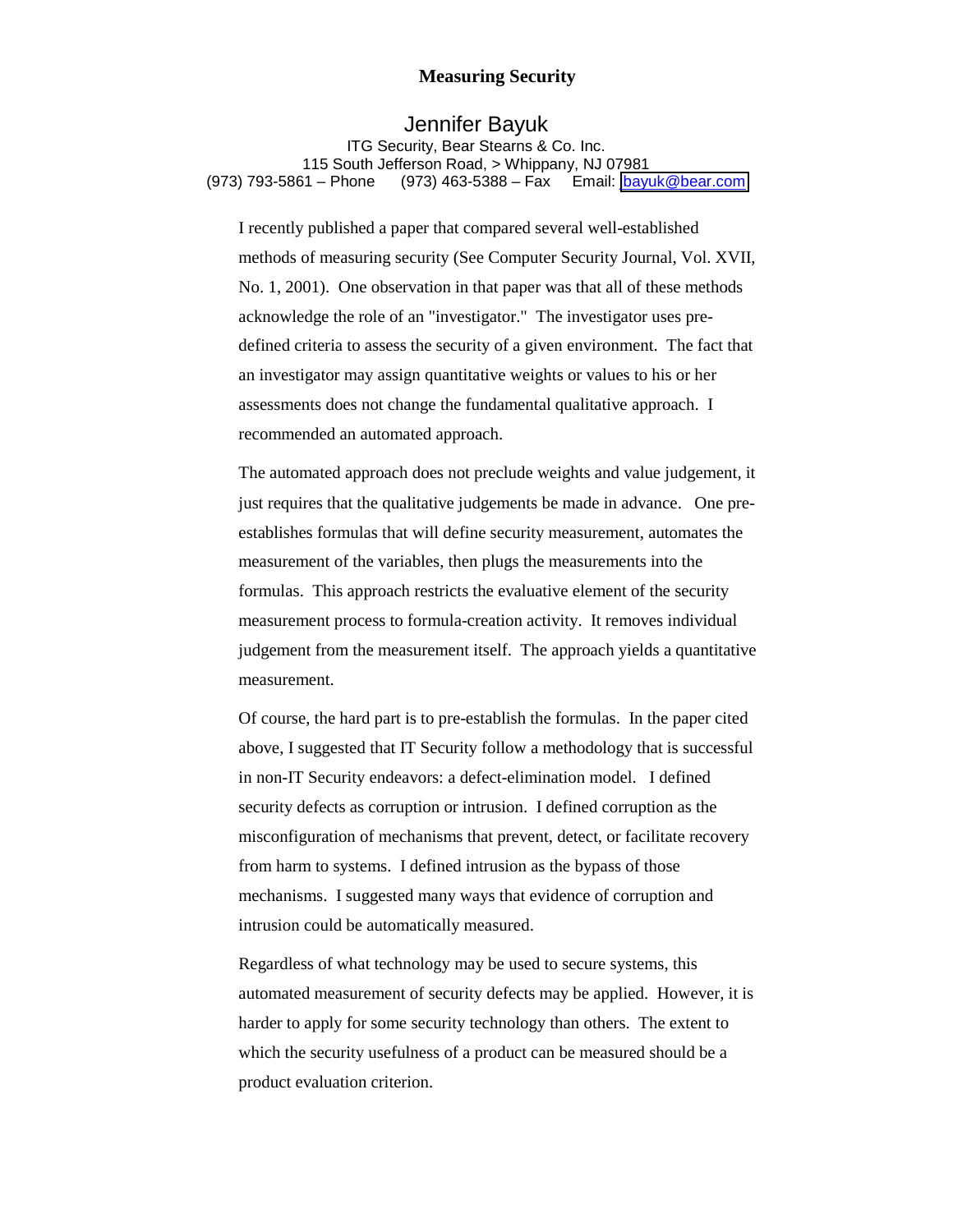## **Measuring Security**

## Jennifer Bayuk

ITG Security, Bear Stearns & Co. Inc. 115 South Jefferson Road, > Whippany, NJ 07981 (973) 793-5861 – Phone (973) 463-5388 – Fax Email: [jbayuk@bear.com](mailto:jbayuk@bear.com)

I recently published a paper that compared several well-established methods of measuring security (See Computer Security Journal, Vol. XVII, No. 1, 2001). One observation in that paper was that all of these methods acknowledge the role of an "investigator." The investigator uses predefined criteria to assess the security of a given environment. The fact that an investigator may assign quantitative weights or values to his or her assessments does not change the fundamental qualitative approach. I recommended an automated approach.

The automated approach does not preclude weights and value judgement, it just requires that the qualitative judgements be made in advance. One preestablishes formulas that will define security measurement, automates the measurement of the variables, then plugs the measurements into the formulas. This approach restricts the evaluative element of the security measurement process to formula-creation activity. It removes individual judgement from the measurement itself. The approach yields a quantitative measurement.

Of course, the hard part is to pre-establish the formulas. In the paper cited above, I suggested that IT Security follow a methodology that is successful in non-IT Security endeavors: a defect-elimination model. I defined security defects as corruption or intrusion. I defined corruption as the misconfiguration of mechanisms that prevent, detect, or facilitate recovery from harm to systems. I defined intrusion as the bypass of those mechanisms. I suggested many ways that evidence of corruption and intrusion could be automatically measured.

Regardless of what technology may be used to secure systems, this automated measurement of security defects may be applied. However, it is harder to apply for some security technology than others. The extent to which the security usefulness of a product can be measured should be a product evaluation criterion.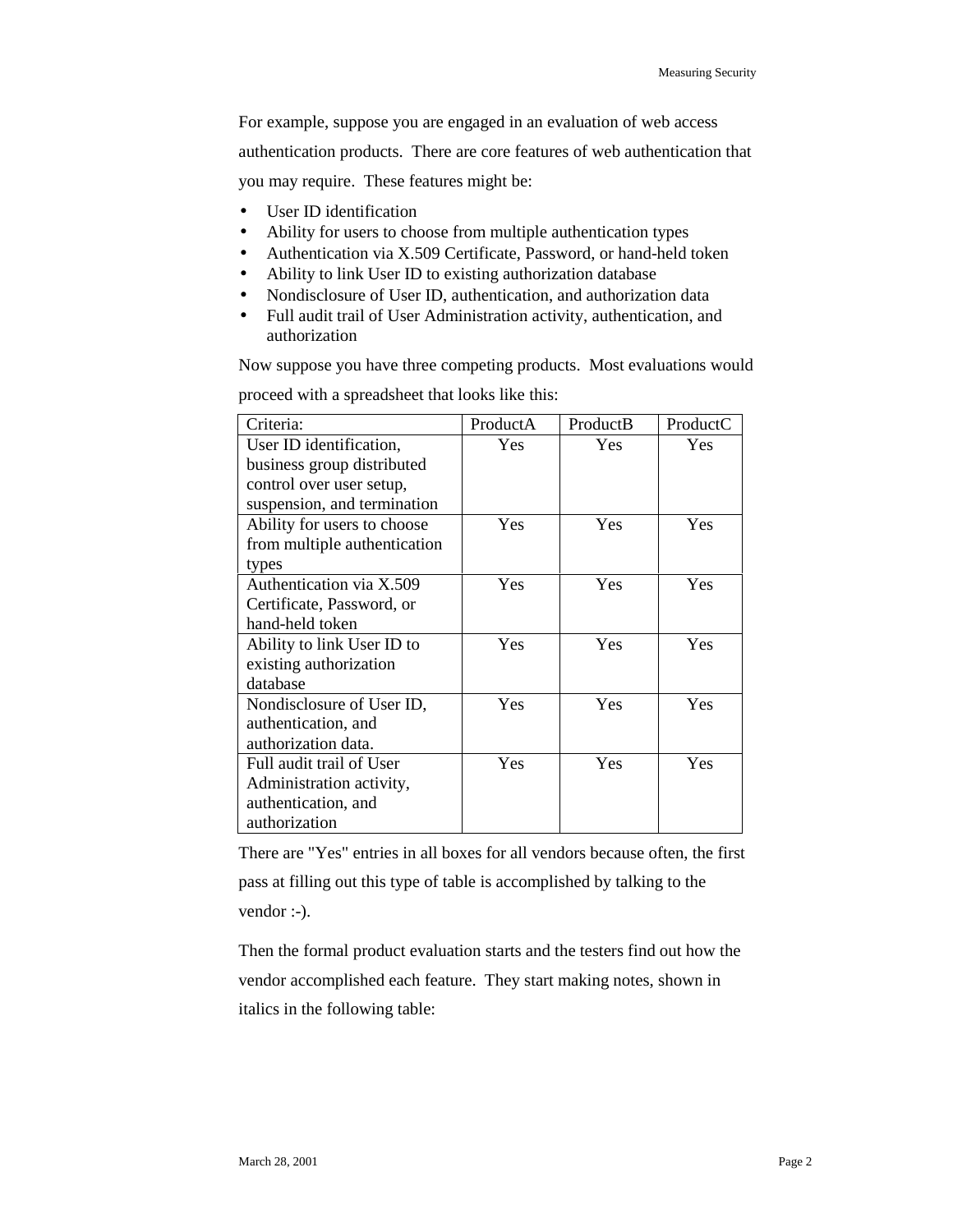For example, suppose you are engaged in an evaluation of web access authentication products. There are core features of web authentication that you may require. These features might be:

- User ID identification
- Ability for users to choose from multiple authentication types
- Authentication via X.509 Certificate, Password, or hand-held token
- Ability to link User ID to existing authorization database
- Nondisclosure of User ID, authentication, and authorization data
- Full audit trail of User Administration activity, authentication, and authorization

Now suppose you have three competing products. Most evaluations would

| Criteria:                    | ProductA   | ProductB   | ProductC   |
|------------------------------|------------|------------|------------|
| User ID identification,      | Yes        | Yes        | <b>Yes</b> |
| business group distributed   |            |            |            |
| control over user setup,     |            |            |            |
| suspension, and termination  |            |            |            |
| Ability for users to choose  | Yes        | <b>Yes</b> | Yes        |
| from multiple authentication |            |            |            |
| types                        |            |            |            |
| Authentication via X.509     | Yes        | <b>Yes</b> | <b>Yes</b> |
| Certificate, Password, or    |            |            |            |
| hand-held token              |            |            |            |
| Ability to link User ID to   | Yes        | <b>Yes</b> | Yes        |
| existing authorization       |            |            |            |
| database                     |            |            |            |
| Nondisclosure of User ID,    | Yes        | Yes        | <b>Yes</b> |
| authentication, and          |            |            |            |
| authorization data.          |            |            |            |
| Full audit trail of User     | <b>Yes</b> | <b>Yes</b> | Yes        |
| Administration activity,     |            |            |            |
| authentication, and          |            |            |            |
| authorization                |            |            |            |

proceed with a spreadsheet that looks like this:

There are "Yes" entries in all boxes for all vendors because often, the first pass at filling out this type of table is accomplished by talking to the vendor :-).

Then the formal product evaluation starts and the testers find out how the vendor accomplished each feature. They start making notes, shown in italics in the following table: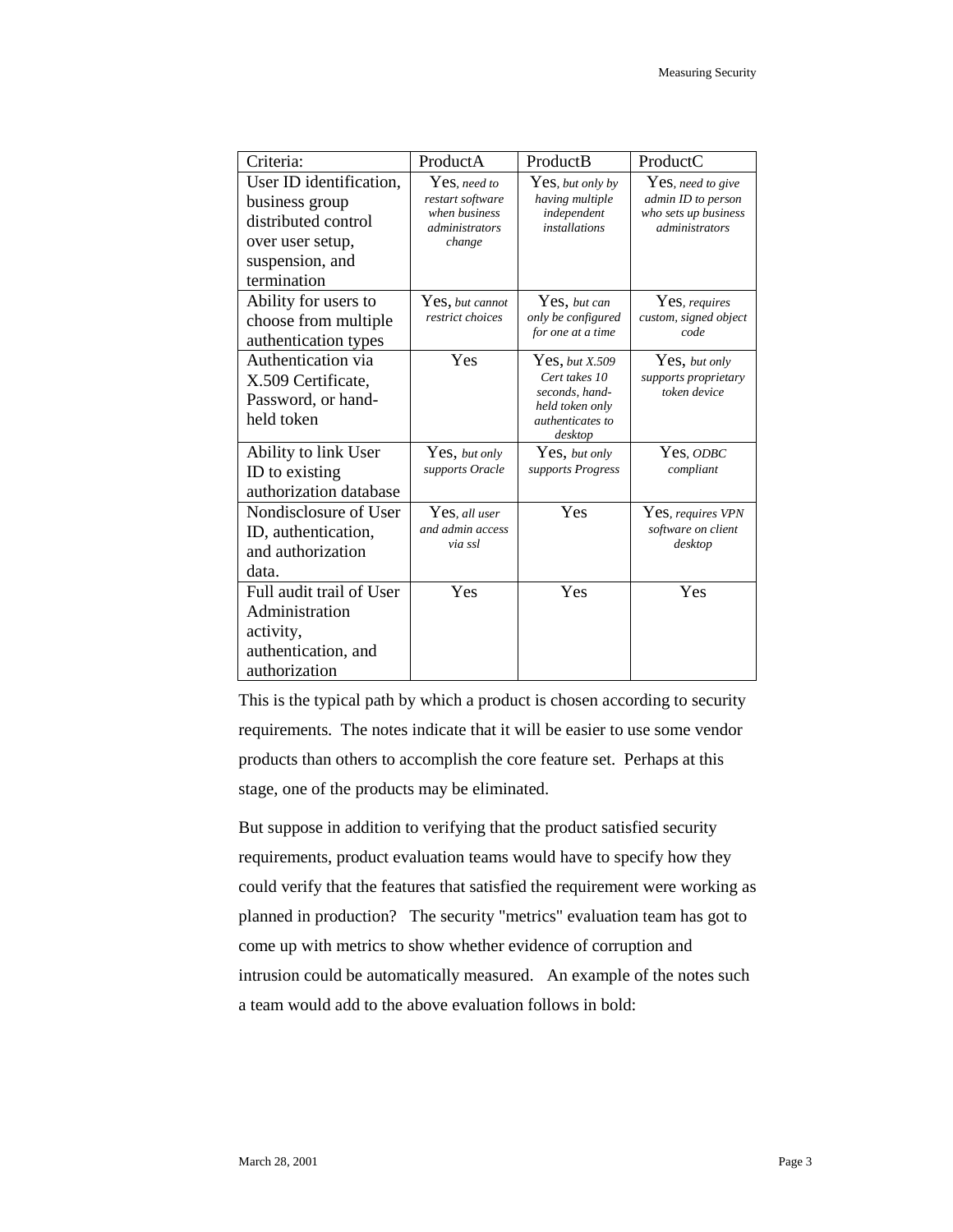| Criteria:                                                                                                              | ProductA                                                                             | ProductB                                                                                                   | ProductC                                                                          |
|------------------------------------------------------------------------------------------------------------------------|--------------------------------------------------------------------------------------|------------------------------------------------------------------------------------------------------------|-----------------------------------------------------------------------------------|
| User ID identification,<br>business group<br>distributed control<br>over user setup,<br>suspension, and<br>termination | Yes, need to<br>restart software<br>when business<br><i>administrators</i><br>change | Yes, but only by<br>having multiple<br>independent<br><i>installations</i>                                 | Yes, need to give<br>admin ID to person<br>who sets up business<br>administrators |
| Ability for users to<br>choose from multiple<br>authentication types                                                   | $\operatorname{Yes},$ but cannot<br>restrict choices                                 | Yes, but can<br>only be configured<br>for one at a time                                                    | Yes, requires<br>custom, signed object<br>code                                    |
| Authentication via<br>X.509 Certificate,<br>Password, or hand-<br>held token                                           | Yes                                                                                  | Yes, but X.509<br>Cert takes 10<br>seconds, hand-<br>held token only<br><i>authenticates to</i><br>desktop | Yes, but only<br>supports proprietary<br>token device                             |
| Ability to link User<br>ID to existing<br>authorization database                                                       | Yes, but only<br>supports Oracle                                                     | Yes, but only<br>supports Progress                                                                         | Yes, ODBC<br>compliant                                                            |
| Nondisclosure of User<br>ID, authentication,<br>and authorization<br>data.                                             | Yes, all user<br>and admin access<br>via ssl                                         | Yes                                                                                                        | Yes, requires VPN<br>software on client<br>desktop                                |
| Full audit trail of User<br>Administration<br>activity,<br>authentication, and<br>authorization                        | Yes                                                                                  | Yes                                                                                                        | Yes                                                                               |

This is the typical path by which a product is chosen according to security requirements. The notes indicate that it will be easier to use some vendor products than others to accomplish the core feature set. Perhaps at this stage, one of the products may be eliminated.

But suppose in addition to verifying that the product satisfied security requirements, product evaluation teams would have to specify how they could verify that the features that satisfied the requirement were working as planned in production? The security "metrics" evaluation team has got to come up with metrics to show whether evidence of corruption and intrusion could be automatically measured. An example of the notes such a team would add to the above evaluation follows in bold: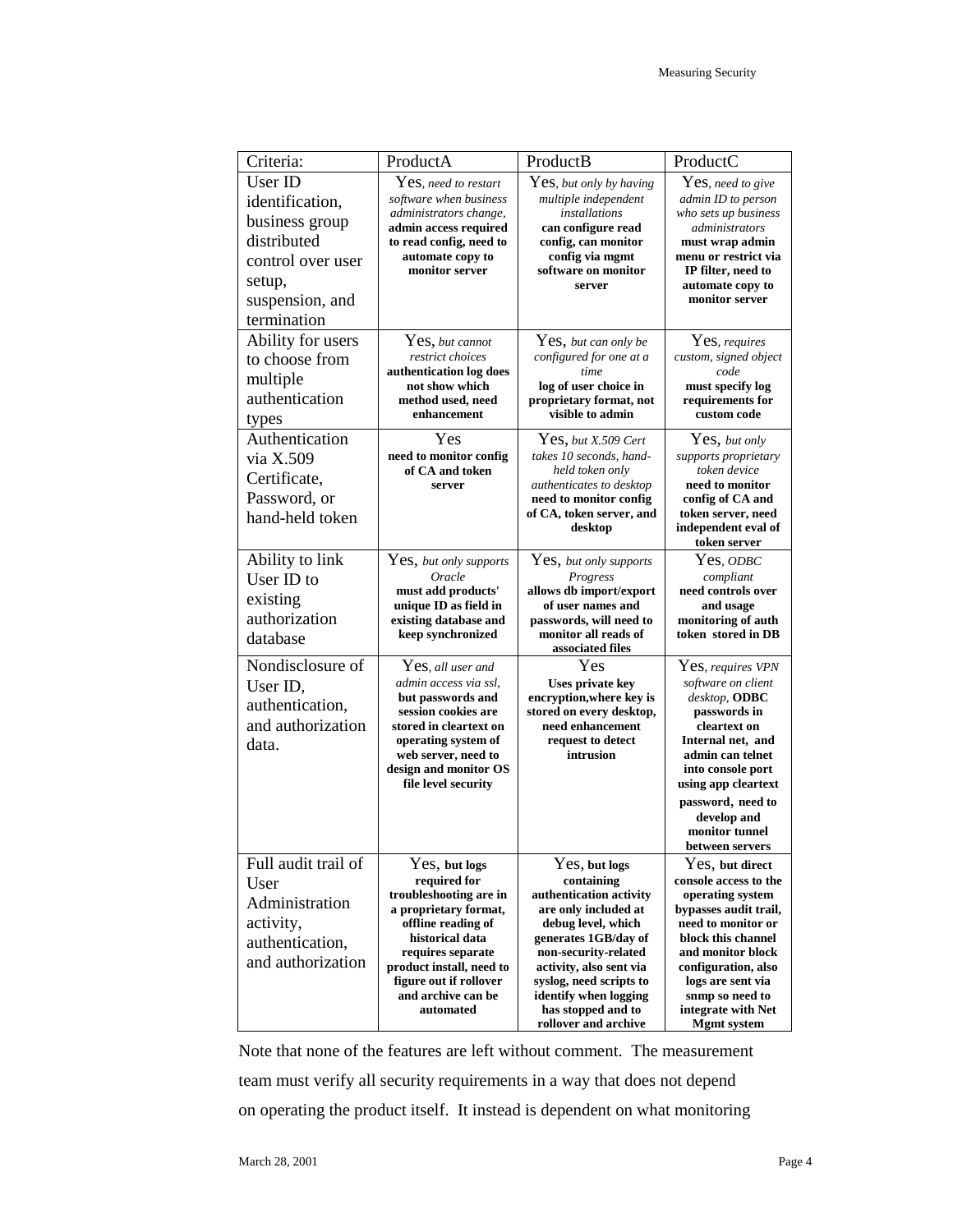| Criteria:           | ProductA                                           | ProductB                                            | ProductC                                    |
|---------------------|----------------------------------------------------|-----------------------------------------------------|---------------------------------------------|
| User ID             | Yes, need to restart                               | Yes, but only by having                             | Yes, need to give                           |
| identification,     | software when business                             | multiple independent                                | admin ID to person                          |
| business group      | administrators change,<br>admin access required    | installations<br>can configure read                 | who sets up business<br>administrators      |
| distributed         | to read config, need to                            | config, can monitor                                 | must wrap admin                             |
| control over user   | automate copy to                                   | config via mgmt                                     | menu or restrict via                        |
| setup,              | monitor server                                     | software on monitor<br>server                       | IP filter, need to<br>automate copy to      |
| suspension, and     |                                                    |                                                     | monitor server                              |
| termination         |                                                    |                                                     |                                             |
| Ability for users   | Yes, but cannot                                    | Yes, but can only be                                | Yes, requires                               |
| to choose from      | restrict choices                                   | configured for one at a                             | custom, signed object                       |
| multiple            | authentication log does<br>not show which          | time                                                | code                                        |
| authentication      | method used, need                                  | log of user choice in<br>proprietary format, not    | must specify log<br>requirements for        |
| types               | enhancement                                        | visible to admin                                    | custom code                                 |
| Authentication      | Yes                                                | $Yes, but X.509$ Cert                               | Yes, but only                               |
| via X.509           | need to monitor config                             | takes 10 seconds, hand-                             | supports proprietary                        |
| Certificate,        | of CA and token                                    | held token only                                     | token device                                |
| Password, or        | server                                             | authenticates to desktop<br>need to monitor config  | need to monitor<br>config of CA and         |
| hand-held token     |                                                    | of CA, token server, and                            | token server, need                          |
|                     |                                                    | desktop                                             | independent eval of<br>token server         |
| Ability to link     | Yes, but only supports                             | Yes, but only supports                              | Yes, <i>odbc</i>                            |
| User ID to          | Oracle                                             | Progress                                            | compliant                                   |
| existing            | must add products'                                 | allows db import/export                             | need controls over                          |
| authorization       | unique ID as field in                              | of user names and                                   | and usage                                   |
|                     | existing database and<br>keep synchronized         | passwords, will need to<br>monitor all reads of     | monitoring of auth<br>token stored in DB    |
| database            |                                                    | associated files                                    |                                             |
| Nondisclosure of    | Yes, all user and                                  | Yes                                                 | Yes, requires VPN                           |
| User ID,            | admin access via ssl.<br>but passwords and         | <b>Uses private key</b><br>encryption, where key is | software on client<br>desktop, ODBC         |
| authentication,     | session cookies are                                | stored on every desktop,                            | passwords in                                |
| and authorization   | stored in cleartext on                             | need enhancement                                    | cleartext on                                |
| data.               | operating system of                                | request to detect                                   | Internal net, and                           |
|                     | web server, need to<br>design and monitor OS       | intrusion                                           | admin can telnet<br>into console port       |
|                     | file level security                                |                                                     | using app cleartext                         |
|                     |                                                    |                                                     | password, need to                           |
|                     |                                                    |                                                     | develop and                                 |
|                     |                                                    |                                                     | monitor tunnel<br>between servers           |
| Full audit trail of | Yes, but logs                                      | Yes, but logs                                       | Yes, but direct                             |
| User                | required for                                       | containing                                          | console access to the                       |
| Administration      | troubleshooting are in                             | authentication activity                             | operating system                            |
| activity,           | a proprietary format,<br>offline reading of        | are only included at<br>debug level, which          | bypasses audit trail,<br>need to monitor or |
| authentication,     | historical data                                    | generates 1GB/day of                                | block this channel                          |
| and authorization   | requires separate                                  | non-security-related                                | and monitor block                           |
|                     | product install, need to<br>figure out if rollover | activity, also sent via<br>syslog, need scripts to  | configuration, also<br>logs are sent via    |
|                     | and archive can be                                 | identify when logging                               | snmp so need to                             |
|                     | automated                                          | has stopped and to                                  | integrate with Net                          |
|                     |                                                    | rollover and archive                                | <b>Mgmt</b> system                          |

Note that none of the features are left without comment. The measurement team must verify all security requirements in a way that does not depend on operating the product itself. It instead is dependent on what monitoring